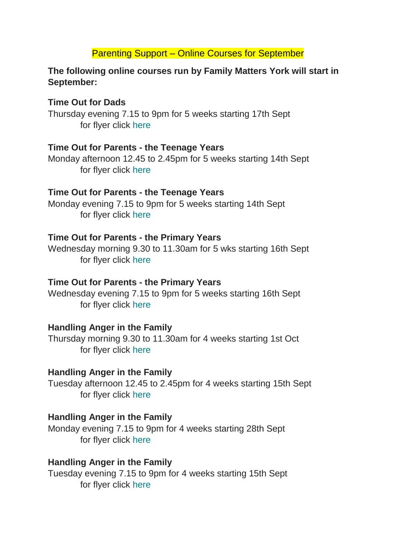### Parenting Support – Online Courses for September

### **The following online courses run by Family Matters York will start in September:**

### **Time Out for Dads**

Thursday evening 7.15 to 9pm for 5 weeks starting 17th Sept for flyer click [here](https://fmy.us2.list-manage.com/track/click?u=474a5c81c8b8dd94a65c4787d&id=8ff2c44a1c&e=edaf10d5cc)

### **Time Out for Parents - the Teenage Years**

Monday afternoon 12.45 to 2.45pm for 5 weeks starting 14th Sept for flyer click [here](https://fmy.us2.list-manage.com/track/click?u=474a5c81c8b8dd94a65c4787d&id=7ff7a5af69&e=edaf10d5cc)

### **Time Out for Parents - the Teenage Years**

Monday evening 7.15 to 9pm for 5 weeks starting 14th Sept for flyer click [here](https://fmy.us2.list-manage.com/track/click?u=474a5c81c8b8dd94a65c4787d&id=112898ec1d&e=edaf10d5cc)

### **Time Out for Parents - the Primary Years**

Wednesday morning 9.30 to 11.30am for 5 wks starting 16th Sept for flyer click [here](https://fmy.us2.list-manage.com/track/click?u=474a5c81c8b8dd94a65c4787d&id=b0a68cd742&e=edaf10d5cc)

### **Time Out for Parents - the Primary Years**

Wednesday evening 7.15 to 9pm for 5 weeks starting 16th Sept for flyer click [here](https://fmy.us2.list-manage.com/track/click?u=474a5c81c8b8dd94a65c4787d&id=44519b243f&e=edaf10d5cc)

# **Handling Anger in the Family**

Thursday morning 9.30 to 11.30am for 4 weeks starting 1st Oct for flyer click [here](https://fmy.us2.list-manage.com/track/click?u=474a5c81c8b8dd94a65c4787d&id=9a1ca6e63b&e=edaf10d5cc)

# **Handling Anger in the Family**

Tuesday afternoon 12.45 to 2.45pm for 4 weeks starting 15th Sept for flyer click [here](https://fmy.us2.list-manage.com/track/click?u=474a5c81c8b8dd94a65c4787d&id=c924b0f07b&e=edaf10d5cc)

# **Handling Anger in the Family**

Monday evening 7.15 to 9pm for 4 weeks starting 28th Sept for flyer click [here](https://fmy.us2.list-manage.com/track/click?u=474a5c81c8b8dd94a65c4787d&id=cd20b18dbf&e=edaf10d5cc)

# **Handling Anger in the Family**

Tuesday evening 7.15 to 9pm for 4 weeks starting 15th Sept for flyer click [here](https://fmy.us2.list-manage.com/track/click?u=474a5c81c8b8dd94a65c4787d&id=4f57fc014f&e=edaf10d5cc)